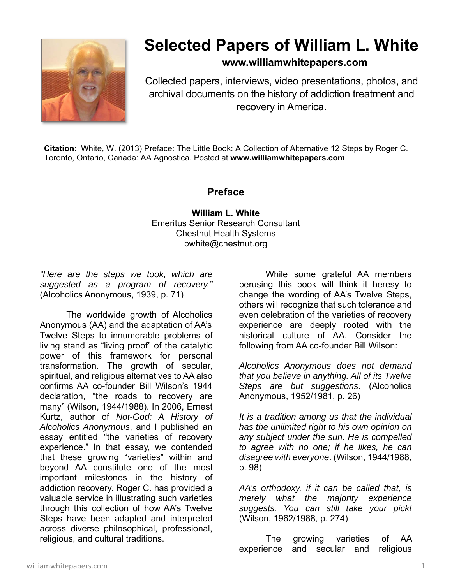

## **Selected Papers of William L. White**

**www.williamwhitepapers.com**

Collected papers, interviews, video presentations, photos, and archival documents on the history of addiction treatment and recovery in America.

**Citation**: White, W. (2013) Preface: The Little Book: A Collection of Alternative 12 Steps by Roger C. Toronto, Ontario, Canada: AA Agnostica. Posted at **www.williamwhitepapers.com** 

## **Preface**

**William L. White**  Emeritus Senior Research Consultant Chestnut Health Systems bwhite@chestnut.org

*"Here are the steps we took, which are suggested as a program of recovery."*  (Alcoholics Anonymous, 1939, p. 71)

The worldwide growth of Alcoholics Anonymous (AA) and the adaptation of AA's Twelve Steps to innumerable problems of living stand as "living proof" of the catalytic power of this framework for personal transformation. The growth of secular, spiritual, and religious alternatives to AA also confirms AA co-founder Bill Wilson's 1944 declaration, "the roads to recovery are many" (Wilson, 1944/1988). In 2006, Ernest Kurtz, author of *Not-God: A History of Alcoholics Anonymous*, and I published an essay entitled "the varieties of recovery experience." In that essay, we contended that these growing "varieties" within and beyond AA constitute one of the most important milestones in the history of addiction recovery. Roger C. has provided a valuable service in illustrating such varieties through this collection of how AA's Twelve Steps have been adapted and interpreted across diverse philosophical, professional, religious, and cultural traditions.

While some grateful AA members perusing this book will think it heresy to change the wording of AA's Twelve Steps, others will recognize that such tolerance and even celebration of the varieties of recovery experience are deeply rooted with the historical culture of AA. Consider the following from AA co-founder Bill Wilson:

*Alcoholics Anonymous does not demand that you believe in anything. All of its Twelve Steps are but suggestions*. (Alcoholics Anonymous, 1952/1981, p. 26)

*It is a tradition among us that the individual has the unlimited right to his own opinion on any subject under the sun. He is compelled to agree with no one; if he likes, he can disagree with everyone*. (Wilson, 1944/1988, p. 98)

*AA's orthodoxy, if it can be called that, is merely what the majority experience suggests. You can still take your pick!* (Wilson, 1962/1988, p. 274)

The growing varieties of AA experience and secular and religious